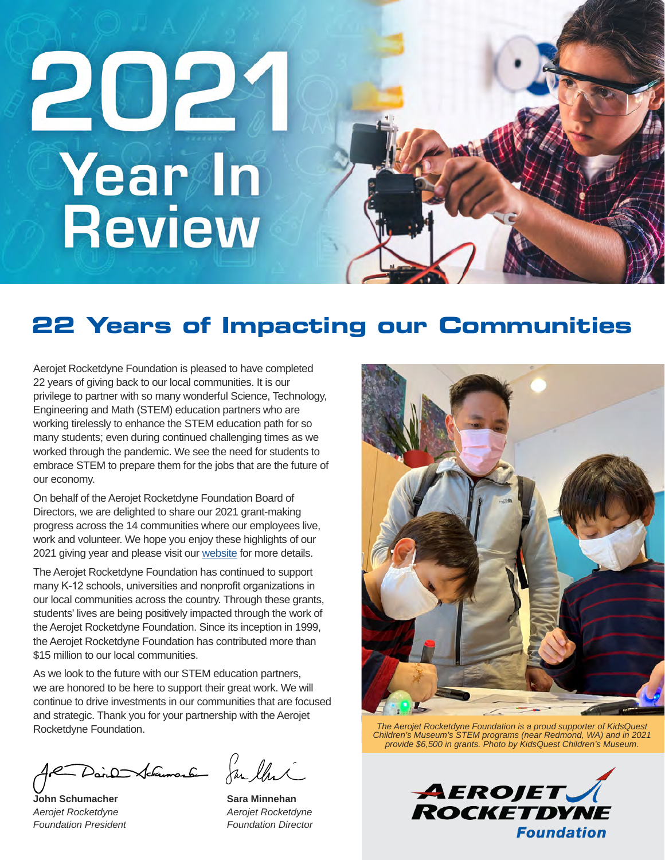# 2021 **Year In Review**

# **22 Years of Impacting our Communities**

Aerojet Rocketdyne Foundation is pleased to have completed 22 years of giving back to our local communities. It is our privilege to partner with so many wonderful Science, Technology, Engineering and Math (STEM) education partners who are working tirelessly to enhance the STEM education path for so many students; even during continued challenging times as we worked through the pandemic. We see the need for students to embrace STEM to prepare them for the jobs that are the future of our economy.

On behalf of the Aerojet Rocketdyne Foundation Board of Directors, we are delighted to share our 2021 grant-making progress across the 14 communities where our employees live, work and volunteer. We hope you enjoy these highlights of our 2021 giving year and please visit our [website](https://www.aerojetrocketdyne.com/foundation) for more details.

The Aerojet Rocketdyne Foundation has continued to support many K-12 schools, universities and nonprofit organizations in our local communities across the country. Through these grants, students' lives are being positively impacted through the work of the Aerojet Rocketdyne Foundation. Since its inception in 1999, the Aerojet Rocketdyne Foundation has contributed more than \$15 million to our local communities.

As we look to the future with our STEM education partners, we are honored to be here to support their great work. We will continue to drive investments in our communities that are focused and strategic. Thank you for your partnership with the Aerojet Rocketdyne Foundation.

Dain Schemach Jan thri

**John Schumacher** *Aerojet Rocketdyne Foundation President*

**Sara Minnehan** *Aerojet Rocketdyne Foundation Director*



*The Aerojet Rocketdyne Foundation is a proud supporter of KidsQuest Children's Museum's STEM programs (near Redmond, WA) and in 2021 provide \$6,500 in grants. Photo by KidsQuest Children's Museum.*

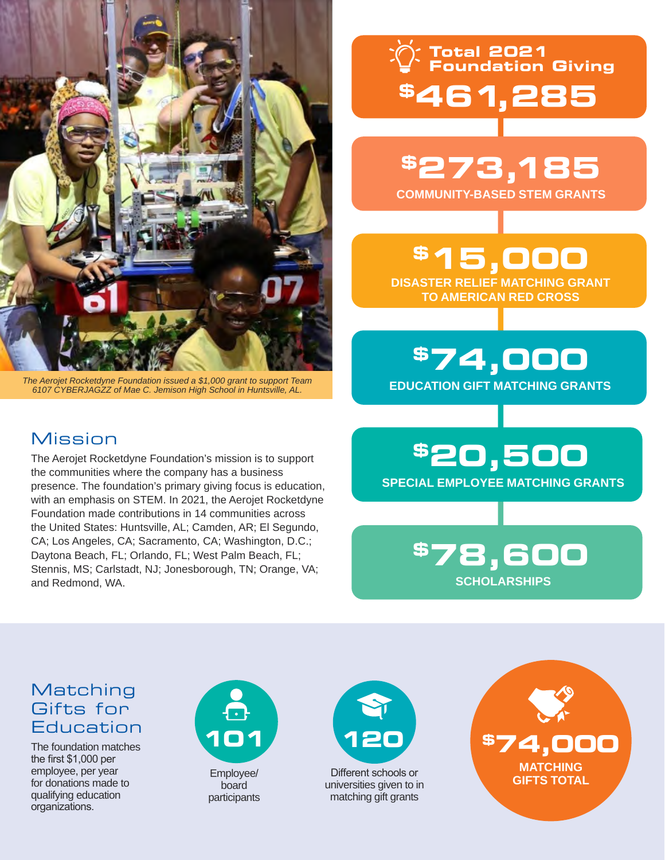

*The Aerojet Rocketdyne Foundation issued a \$1,000 grant to support Team 6107 CYBERJAGZZ of Mae C. Jemison High School in Huntsville, AL.*

The Aerojet Rocketdyne Foundation's mission is to support the communities where the company has a business

presence. The foundation's primary giving focus is education, with an emphasis on STEM. In 2021, the Aerojet Rocketdyne Foundation made contributions in 14 communities across the United States: Huntsville, AL; Camden, AR; El Segundo, CA; Los Angeles, CA; Sacramento, CA; Washington, D.C.; Daytona Beach, FL; Orlando, FL; West Palm Beach, FL; Stennis, MS; Carlstadt, NJ; Jonesborough, TN; Orange, VA;

**\$461,285 Total 2021 Foundation Giving**

**\$273,185 COMMUNITY-BASED STEM GRANTS**

**\$15,000 DISASTER RELIEF MATCHING GRANT TO AMERICAN RED CROSS**

**\$74,000 EDUCATION GIFT MATCHING GRANTS**

## **\$20,500 SPECIAL EMPLOYEE MATCHING GRANTS**

**\$78,600 SCHOLARSHIPS**

#### **Matching** Gifts for Education

Mission

and Redmond, WA.

The foundation matches the first \$1,000 per employee, per year for donations made to qualifying education organizations.



Employee/ board participants



Different schools or universities given to in matching gift grants

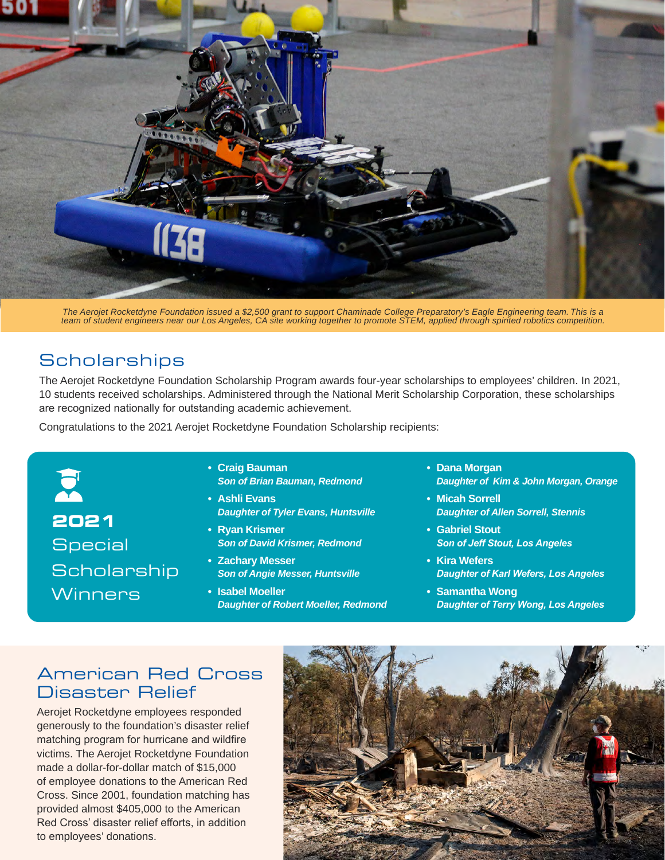

*The Aerojet Rocketdyne Foundation issued a \$2,500 grant to support Chaminade College Preparatory's Eagle Engineering team. This is a team of student engineers near our Los Angeles, CA site working together to promote STEM, applied through spirited robotics competition.* 

## **Scholarships**

The Aerojet Rocketdyne Foundation Scholarship Program awards four-year scholarships to employees' children. In 2021, 10 students received scholarships. Administered through the National Merit Scholarship Corporation, these scholarships are recognized nationally for outstanding academic achievement.

Congratulations to the 2021 Aerojet Rocketdyne Foundation Scholarship recipients:

E **2021 Special Scholarship Winners** 

- **• Craig Bauman** *Son of Brian Bauman, Redmond*
- **• Ashli Evans** *Daughter of Tyler Evans, Huntsville*
- **• Ryan Krismer** *Son of David Krismer, Redmond*
- **• Zachary Messer** *Son of Angie Messer, Huntsville*
- **• Isabel Moeller** *Daughter of Robert Moeller, Redmond*
- **• Dana Morgan** *Daughter of Kim & John Morgan, Orange*
- **• Micah Sorrell** *Daughter of Allen Sorrell, Stennis*
- **• Gabriel Stout** *Son of Jeff Stout, Los Angeles*
- **• Kira Wefers** *Daughter of Karl Wefers, Los Angeles*
- **• Samantha Wong** *Daughter of Terry Wong, Los Angeles*

#### American Red Cross Disaster Relief

Aerojet Rocketdyne employees responded generously to the foundation's disaster relief matching program for hurricane and wildfire victims. The Aerojet Rocketdyne Foundation made a dollar-for-dollar match of \$15,000 of employee donations to the American Red Cross. Since 2001, foundation matching has provided almost \$405,000 to the American Red Cross' disaster relief efforts, in addition to employees' donations.